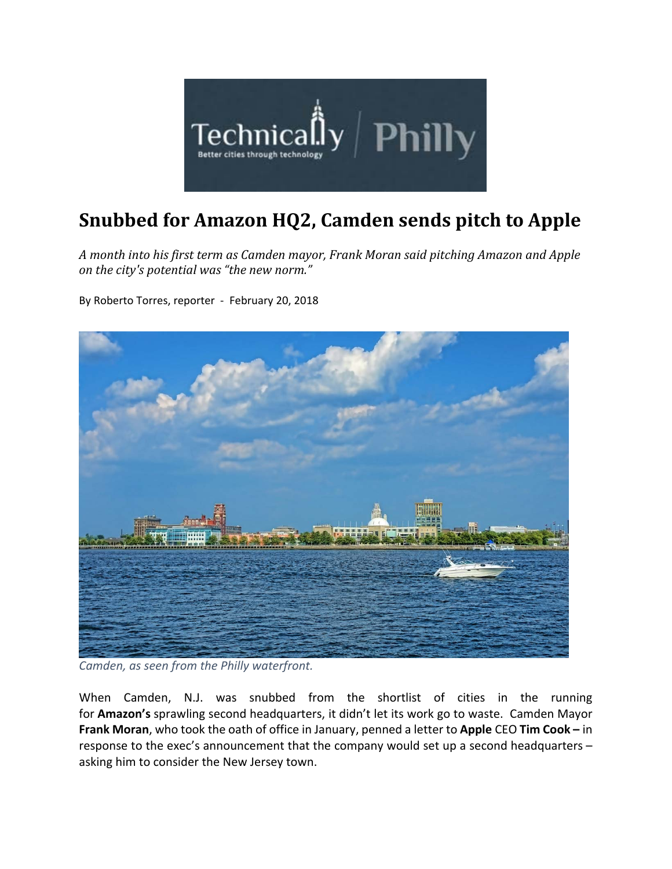

## **Snubbed for Amazon HQ2, Camden sends pitch to Apple**

*A month into his first term as Camden mayor, Frank Moran said pitching Amazon and Apple on the city's potential was "the new norm."*

By Roberto Torres, reporter ‐ February 20, 2018



*Camden, as seen from the Philly waterfront.*

When Camden, N.J. was snubbed from the shortlist of cities in the running for **Amazon's** sprawling second headquarters, it didn't let its work go to waste. Camden Mayor **Frank Moran**, who took the oath of office in January, penned a letter to **Apple** CEO **Tim Cook –** in response to the exec's announcement that the company would set up a second headquarters – asking him to consider the New Jersey town.